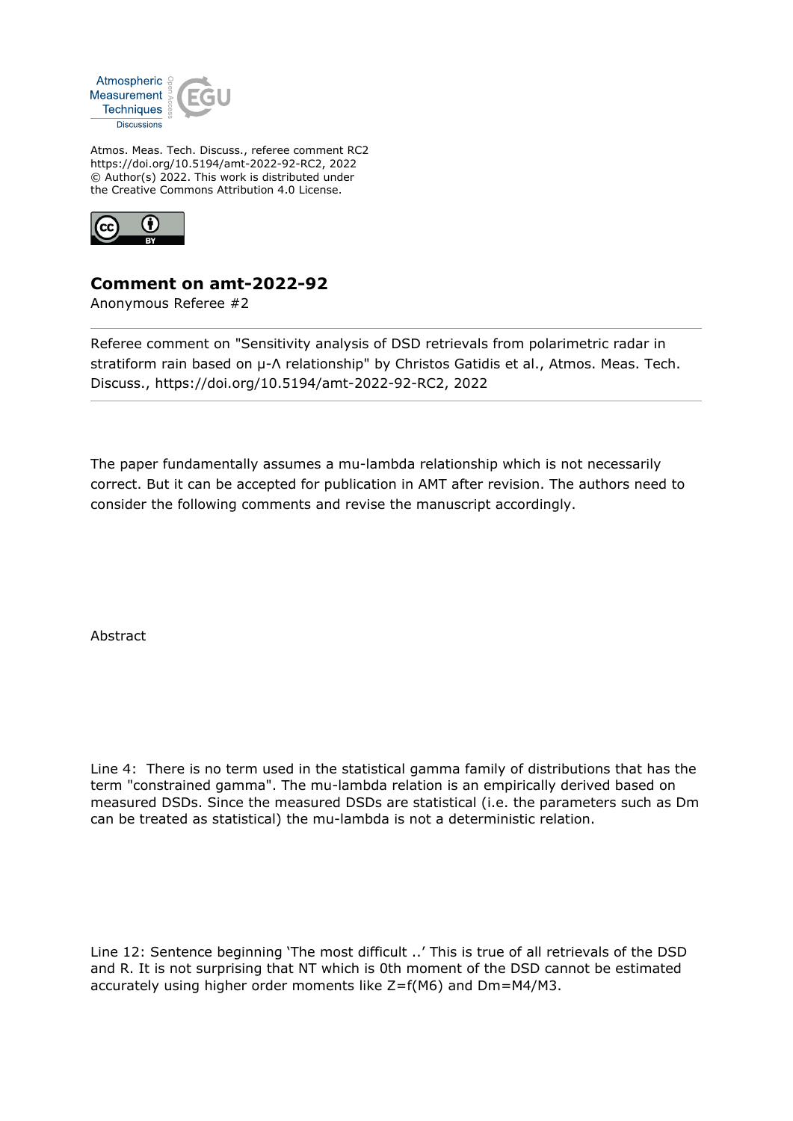

Atmos. Meas. Tech. Discuss., referee comment RC2 https://doi.org/10.5194/amt-2022-92-RC2, 2022 © Author(s) 2022. This work is distributed under the Creative Commons Attribution 4.0 License.



## **Comment on amt-2022-92**

Anonymous Referee #2

Referee comment on "Sensitivity analysis of DSD retrievals from polarimetric radar in stratiform rain based on μ-Λ relationship" by Christos Gatidis et al., Atmos. Meas. Tech. Discuss., https://doi.org/10.5194/amt-2022-92-RC2, 2022

The paper fundamentally assumes a mu-lambda relationship which is not necessarily correct. But it can be accepted for publication in AMT after revision. The authors need to consider the following comments and revise the manuscript accordingly.

Abstract

Line 4: There is no term used in the statistical gamma family of distributions that has the term "constrained gamma". The mu-lambda relation is an empirically derived based on measured DSDs. Since the measured DSDs are statistical (i.e. the parameters such as Dm can be treated as statistical) the mu-lambda is not a deterministic relation.

Line 12: Sentence beginning 'The most difficult ..' This is true of all retrievals of the DSD and R. It is not surprising that NT which is 0th moment of the DSD cannot be estimated accurately using higher order moments like Z=f(M6) and Dm=M4/M3.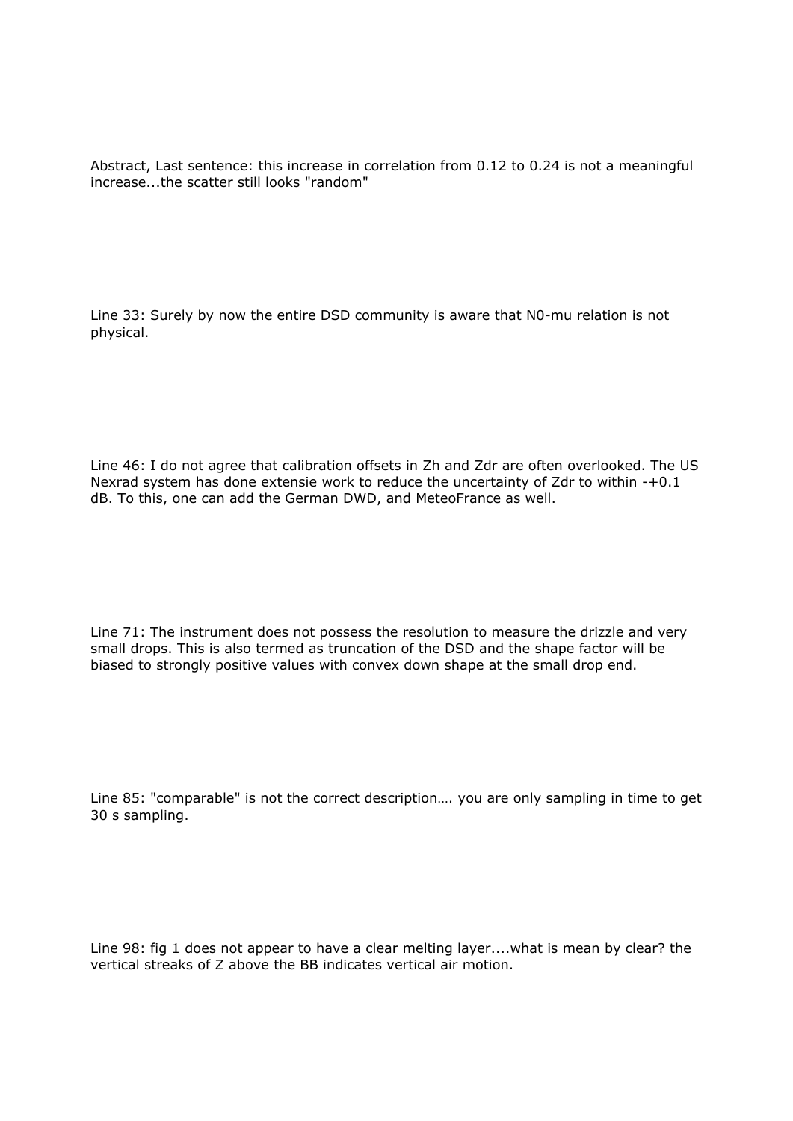Abstract, Last sentence: this increase in correlation from 0.12 to 0.24 is not a meaningful increase...the scatter still looks "random"

Line 33: Surely by now the entire DSD community is aware that N0-mu relation is not physical.

Line 46: I do not agree that calibration offsets in Zh and Zdr are often overlooked. The US Nexrad system has done extensie work to reduce the uncertainty of Zdr to within -+0.1 dB. To this, one can add the German DWD, and MeteoFrance as well.

Line 71: The instrument does not possess the resolution to measure the drizzle and very small drops. This is also termed as truncation of the DSD and the shape factor will be biased to strongly positive values with convex down shape at the small drop end.

Line 85: "comparable" is not the correct description…. you are only sampling in time to get 30 s sampling.

Line 98: fig 1 does not appear to have a clear melting layer....what is mean by clear? the vertical streaks of Z above the BB indicates vertical air motion.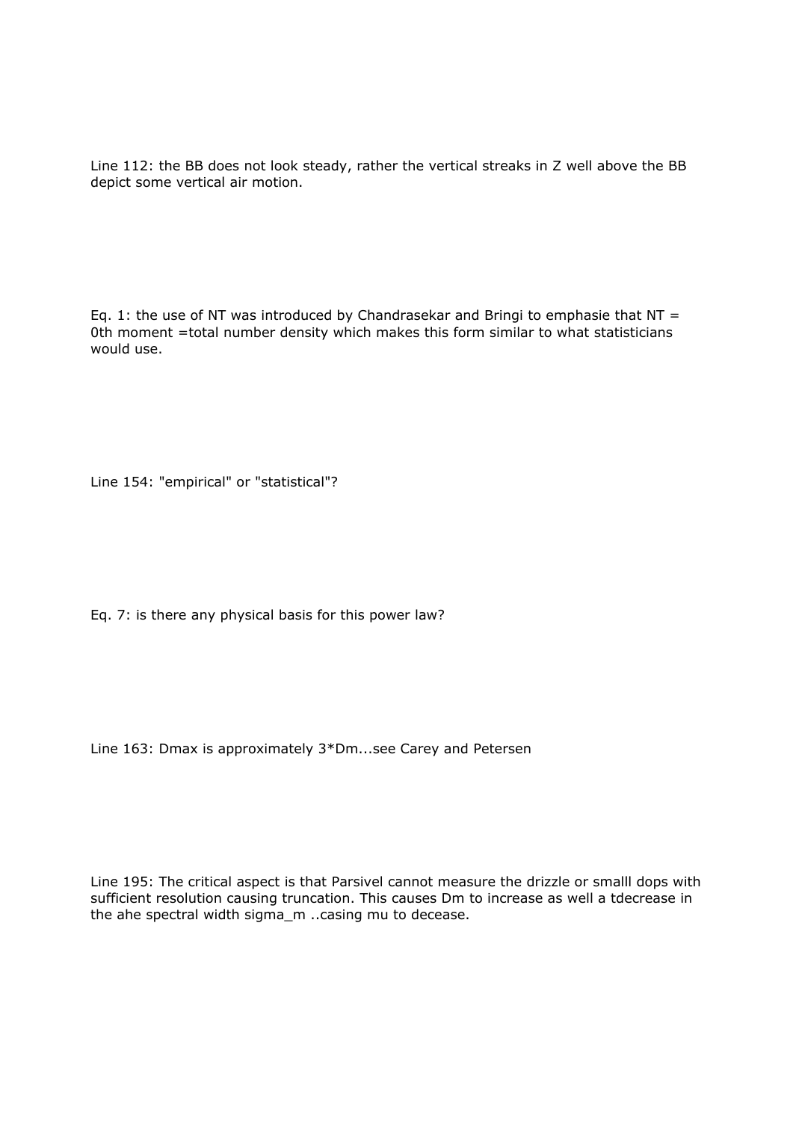Line 112: the BB does not look steady, rather the vertical streaks in Z well above the BB depict some vertical air motion.

Eq. 1: the use of NT was introduced by Chandrasekar and Bringi to emphasie that NT = 0th moment =total number density which makes this form similar to what statisticians would use.

Line 154: "empirical" or "statistical"?

Eq. 7: is there any physical basis for this power law?

Line 163: Dmax is approximately 3\*Dm...see Carey and Petersen

Line 195: The critical aspect is that Parsivel cannot measure the drizzle or smalll dops with sufficient resolution causing truncation. This causes Dm to increase as well a tdecrease in the ahe spectral width sigma m ..casing mu to decease.